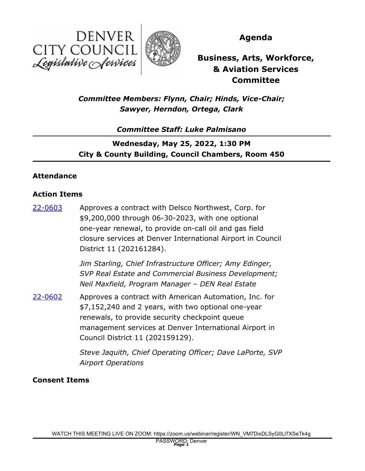



**Agenda**

**Business, Arts, Workforce, & Aviation Services Committee**

# *Committee Members: Flynn, Chair; Hinds, Vice-Chair; Sawyer, Herndon, Ortega, Clark*

# *Committee Staff: Luke Palmisano*

# **Wednesday, May 25, 2022, 1:30 PM City & County Building, Council Chambers, Room 450**

#### **Attendance**

#### **Action Items**

Approves a contract with Delsco Northwest, Corp. for \$9,200,000 through 06-30-2023, with one optional one-year renewal, to provide on-call oil and gas field closure services at Denver International Airport in Council District 11 (202161284). [22-0603](http://denver.legistar.com/gateway.aspx?m=l&id=/matter.aspx?key=21670)

> *Jim Starling, Chief Infrastructure Officer; Amy Edinger, SVP Real Estate and Commercial Business Development; Neil Maxfield, Program Manager – DEN Real Estate*

Approves a contract with American Automation, Inc. for \$7,152,240 and 2 years, with two optional one-year renewals, to provide security checkpoint queue management services at Denver International Airport in Council District 11 (202159129). [22-0602](http://denver.legistar.com/gateway.aspx?m=l&id=/matter.aspx?key=21669)

> *Steve Jaquith, Chief Operating Officer; Dave LaPorte, SVP Airport Operations*

## **Consent Items**